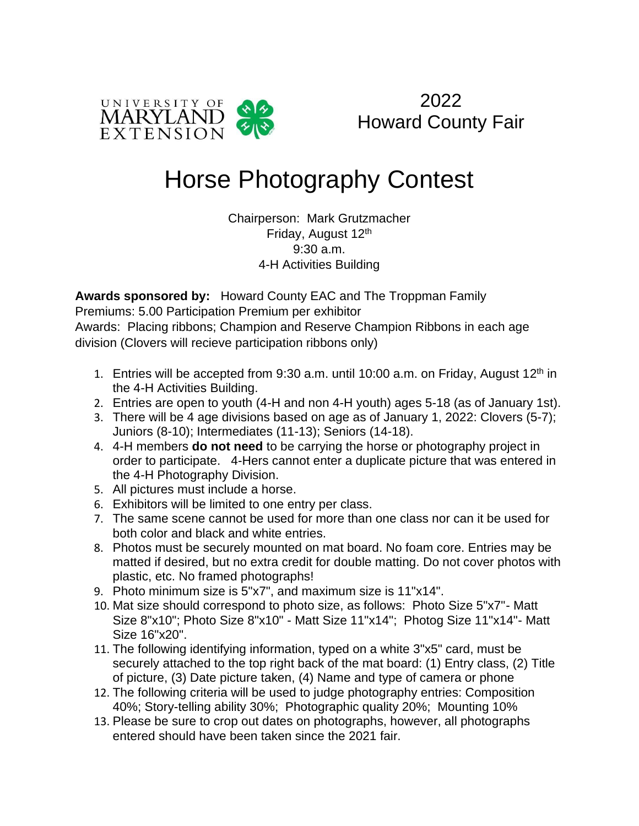

2022 Howard County Fair

## Horse Photography Contest

Chairperson: Mark Grutzmacher Friday, August 12th 9:30 a.m. 4-H Activities Building

**Awards sponsored by:** Howard County EAC and The Troppman Family Premiums: 5.00 Participation Premium per exhibitor Awards: Placing ribbons; Champion and Reserve Champion Ribbons in each age division (Clovers will recieve participation ribbons only)

- 1. Entries will be accepted from  $9:30$  a.m. until 10:00 a.m. on Friday, August 12<sup>th</sup> in the 4-H Activities Building.
- 2. Entries are open to youth (4-H and non 4-H youth) ages 5-18 (as of January 1st).
- 3. There will be 4 age divisions based on age as of January 1, 2022: Clovers (5-7); Juniors (8-10); Intermediates (11-13); Seniors (14-18).
- 4. 4-H members **do not need** to be carrying the horse or photography project in order to participate. 4-Hers cannot enter a duplicate picture that was entered in the 4-H Photography Division.
- 5. All pictures must include a horse.
- 6. Exhibitors will be limited to one entry per class.
- 7. The same scene cannot be used for more than one class nor can it be used for both color and black and white entries.
- 8. Photos must be securely mounted on mat board. No foam core. Entries may be matted if desired, but no extra credit for double matting. Do not cover photos with plastic, etc. No framed photographs!
- 9. Photo minimum size is 5"x7", and maximum size is 11"x14".
- 10. Mat size should correspond to photo size, as follows: Photo Size 5"x7"- Matt Size 8"x10"; Photo Size 8"x10" - Matt Size 11"x14"; Photog Size 11"x14"- Matt Size 16"x20".
- 11. The following identifying information, typed on a white 3"x5" card, must be securely attached to the top right back of the mat board: (1) Entry class, (2) Title of picture, (3) Date picture taken, (4) Name and type of camera or phone
- 12. The following criteria will be used to judge photography entries: Composition 40%; Story-telling ability 30%; Photographic quality 20%; Mounting 10%
- 13. Please be sure to crop out dates on photographs, however, all photographs entered should have been taken since the 2021 fair.